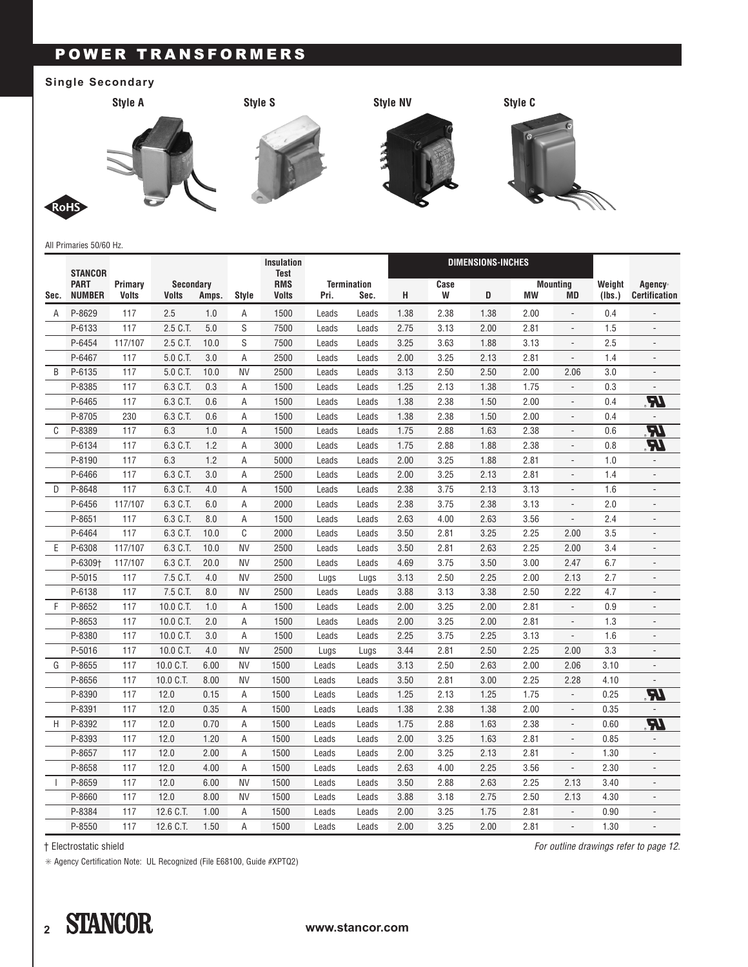## POWER TRANSFORMERS

## **Single Secondary**



All Primaries 50/60 Hz.

|      | <b>STANCOR</b>               |                         |                                  |       |              | <b>Insulation</b><br><b>Test</b> |                                    |       |      |           | DIMENSIONS-INCHES |      |                              |                  |                                             |
|------|------------------------------|-------------------------|----------------------------------|-------|--------------|----------------------------------|------------------------------------|-------|------|-----------|-------------------|------|------------------------------|------------------|---------------------------------------------|
| Sec. | <b>PART</b><br><b>NUMBER</b> | Primary<br><b>Volts</b> | <b>Secondary</b><br><b>Volts</b> | Amps. | <b>Style</b> | <b>RMS</b><br>Volts              | <b>Termination</b><br>Pri.<br>Sec. |       | н    | Case<br>W | D                 | МW   | <b>Mounting</b><br><b>MD</b> | Weight<br>(Ibs.) | Agency <sup>*</sup><br><b>Certification</b> |
| A    | P-8629                       | 117                     | 2.5                              | 1.0   | A            | 1500                             | Leads                              | Leads | 1.38 | 2.38      | 1.38              | 2.00 | $\overline{\phantom{a}}$     | 0.4              | $\overline{a}$                              |
|      | P-6133                       | 117                     | 2.5 C.T.                         | 5.0   | S            | 7500                             | Leads                              | Leads | 2.75 | 3.13      | 2.00              | 2.81 | $\blacksquare$               | 1.5              | $\overline{a}$                              |
|      | P-6454                       | 117/107                 | 2.5 C.T.                         | 10.0  | S            | 7500                             | Leads                              | Leads | 3.25 | 3.63      | 1.88              | 3.13 | $\overline{\phantom{m}}$     | 2.5              | $\overline{a}$                              |
|      | P-6467                       | 117                     | 5.0 C.T.                         | 3.0   | A            | 2500                             | Leads                              | Leads | 2.00 | 3.25      | 2.13              | 2.81 | $\overline{a}$               | 1.4              |                                             |
| B    | P-6135                       | 117                     | 5.0 C.T.                         | 10.0  | <b>NV</b>    | 2500                             | Leads                              | Leads | 3.13 | 2.50      | 2.50              | 2.00 | 2.06                         | 3.0              |                                             |
|      | P-8385                       | 117                     | 6.3 C.T.                         | 0.3   | Α            | 1500                             | Leads                              | Leads | 1.25 | 2.13      | 1.38              | 1.75 | $\frac{1}{2}$                | 0.3              |                                             |
|      | P-6465                       | 117                     | 6.3 C.T.                         | 0.6   | A            | 1500                             | Leads                              | Leads | 1.38 | 2.38      | 1.50              | 2.00 | $\overline{\phantom{a}}$     | 0.4              | R                                           |
|      | P-8705                       | 230                     | 6.3 C.T.                         | 0.6   | Α            | 1500                             | Leads                              | Leads | 1.38 | 2.38      | 1.50              | 2.00 | $\frac{1}{2}$                | 0.4              |                                             |
| C    | P-8389                       | 117                     | 6.3                              | 1.0   | A            | 1500                             | Leads                              | Leads | 1.75 | 2.88      | 1.63              | 2.38 | $\overline{\phantom{a}}$     | 0.6              | R                                           |
|      | P-6134                       | 117                     | 6.3 C.T.                         | 1.2   | Α            | 3000                             | Leads                              | Leads | 1.75 | 2.88      | 1.88              | 2.38 | $\blacksquare$               | 0.8              | 97                                          |
|      | P-8190                       | 117                     | 6.3                              | 1.2   | A            | 5000                             | Leads                              | Leads | 2.00 | 3.25      | 1.88              | 2.81 | $\blacksquare$               | 1.0              | $\overline{\phantom{a}}$                    |
|      | P-6466                       | 117                     | 6.3 C.T.                         | 3.0   | A            | 2500                             | Leads                              | Leads | 2.00 | 3.25      | 2.13              | 2.81 | $\centerdot$                 | 1.4              | $\overline{\phantom{a}}$                    |
| D    | P-8648                       | 117                     | 6.3 C.T.                         | 4.0   | A            | 1500                             | Leads                              | Leads | 2.38 | 3.75      | 2.13              | 3.13 |                              | 1.6              |                                             |
|      | P-6456                       | 117/107                 | 6.3 C.T.                         | 6.0   | Α            | 2000                             | Leads                              | Leads | 2.38 | 3.75      | 2.38              | 3.13 | $\overline{a}$               | 2.0              | $\overline{a}$                              |
|      | P-8651                       | 117                     | 6.3 C.T.                         | 8.0   | Α            | 1500                             | Leads                              | Leads | 2.63 | 4.00      | 2.63              | 3.56 | $\overline{a}$               | 2.4              |                                             |
|      | P-6464                       | 117                     | 6.3 C.T.                         | 10.0  | C            | 2000                             | Leads                              | Leads | 3.50 | 2.81      | 3.25              | 2.25 | 2.00                         | 3.5              |                                             |
| E    | P-6308                       | 117/107                 | 6.3 C.T.                         | 10.0  | <b>NV</b>    | 2500                             | Leads                              | Leads | 3.50 | 2.81      | 2.63              | 2.25 | 2.00                         | 3.4              |                                             |
|      | P-6309+                      | 117/107                 | 6.3 C.T.                         | 20.0  | <b>NV</b>    | 2500                             | Leads                              | Leads | 4.69 | 3.75      | 3.50              | 3.00 | 2.47                         | 6.7              |                                             |
|      | P-5015                       | 117                     | 7.5 C.T.                         | 4.0   | <b>NV</b>    | 2500                             | Lugs                               | Lugs  | 3.13 | 2.50      | 2.25              | 2.00 | 2.13                         | 2.7              | $\overline{\phantom{a}}$                    |
|      | P-6138                       | 117                     | 7.5 C.T.                         | 8.0   | <b>NV</b>    | 2500                             | Leads                              | Leads | 3.88 | 3.13      | 3.38              | 2.50 | 2.22                         | 4.7              |                                             |
| F    | P-8652                       | 117                     | 10.0 C.T.                        | 1.0   | Α            | 1500                             | Leads                              | Leads | 2.00 | 3.25      | 2.00              | 2.81 | $\blacksquare$               | 0.9              | $\overline{\phantom{a}}$                    |
|      | P-8653                       | 117                     | 10.0 C.T.                        | 2.0   | A            | 1500                             | Leads                              | Leads | 2.00 | 3.25      | 2.00              | 2.81 |                              | 1.3              |                                             |
|      | P-8380                       | 117                     | 10.0 C.T.                        | 3.0   | A            | 1500                             | Leads                              | Leads | 2.25 | 3.75      | 2.25              | 3.13 | $\overline{\phantom{a}}$     | 1.6              | $\overline{a}$                              |
|      | P-5016                       | 117                     | 10.0 C.T.                        | 4.0   | <b>NV</b>    | 2500                             | Lugs                               | Lugs  | 3.44 | 2.81      | 2.50              | 2.25 | 2.00                         | 3.3              |                                             |
| G    | P-8655                       | 117                     | 10.0 C.T.                        | 6.00  | <b>NV</b>    | 1500                             | Leads                              | Leads | 3.13 | 2.50      | 2.63              | 2.00 | 2.06                         | 3.10             |                                             |
|      | P-8656                       | 117                     | 10.0 C.T.                        | 8.00  | <b>NV</b>    | 1500                             | Leads                              | Leads | 3.50 | 2.81      | 3.00              | 2.25 | 2.28                         | 4.10             |                                             |
|      | P-8390                       | 117                     | 12.0                             | 0.15  | A            | 1500                             | Leads                              | Leads | 1.25 | 2.13      | 1.25              | 1.75 | $\frac{1}{2}$                | 0.25             | <b>RI</b>                                   |
|      | P-8391                       | 117                     | 12.0                             | 0.35  | A            | 1500                             | Leads                              | Leads | 1.38 | 2.38      | 1.38              | 2.00 | $\overline{\phantom{a}}$     | 0.35             |                                             |
| H    | P-8392                       | 117                     | 12.0                             | 0.70  | Α            | 1500                             | Leads                              | Leads | 1.75 | 2.88      | 1.63              | 2.38 | $\overline{\phantom{a}}$     | 0.60             | R                                           |
|      | P-8393                       | 117                     | 12.0                             | 1.20  | Α            | 1500                             | Leads                              | Leads | 2.00 | 3.25      | 1.63              | 2.81 | $\overline{\phantom{m}}$     | 0.85             |                                             |
|      | P-8657                       | 117                     | 12.0                             | 2.00  | Α            | 1500                             | Leads                              | Leads | 2.00 | 3.25      | 2.13              | 2.81 |                              | 1.30             |                                             |
|      | P-8658                       | 117                     | 12.0                             | 4.00  | Α            | 1500                             | Leads                              | Leads | 2.63 | 4.00      | 2.25              | 3.56 | $\overline{a}$               | 2.30             | $\overline{a}$                              |
|      | P-8659                       | 117                     | 12.0                             | 6.00  | <b>NV</b>    | 1500                             | Leads                              | Leads | 3.50 | 2.88      | 2.63              | 2.25 | 2.13                         | 3.40             |                                             |
|      | P-8660                       | 117                     | 12.0                             | 8.00  | <b>NV</b>    | 1500                             | Leads                              | Leads | 3.88 | 3.18      | 2.75              | 2.50 | 2.13                         | 4.30             |                                             |
|      | P-8384                       | 117                     | 12.6 C.T.                        | 1.00  | A            | 1500                             | Leads                              | Leads | 2.00 | 3.25      | 1.75              | 2.81 | $\overline{a}$               | 0.90             |                                             |
|      | P-8550                       | 117                     | 12.6 C.T.                        | 1.50  | A            | 1500                             | Leads                              | Leads | 2.00 | 3.25      | 2.00              | 2.81 | $\frac{1}{2}$                | 1.30             |                                             |

† Electrostatic shield

✳ Agency Certification Note: UL Recognized (File E68100, Guide #XPTQ2)

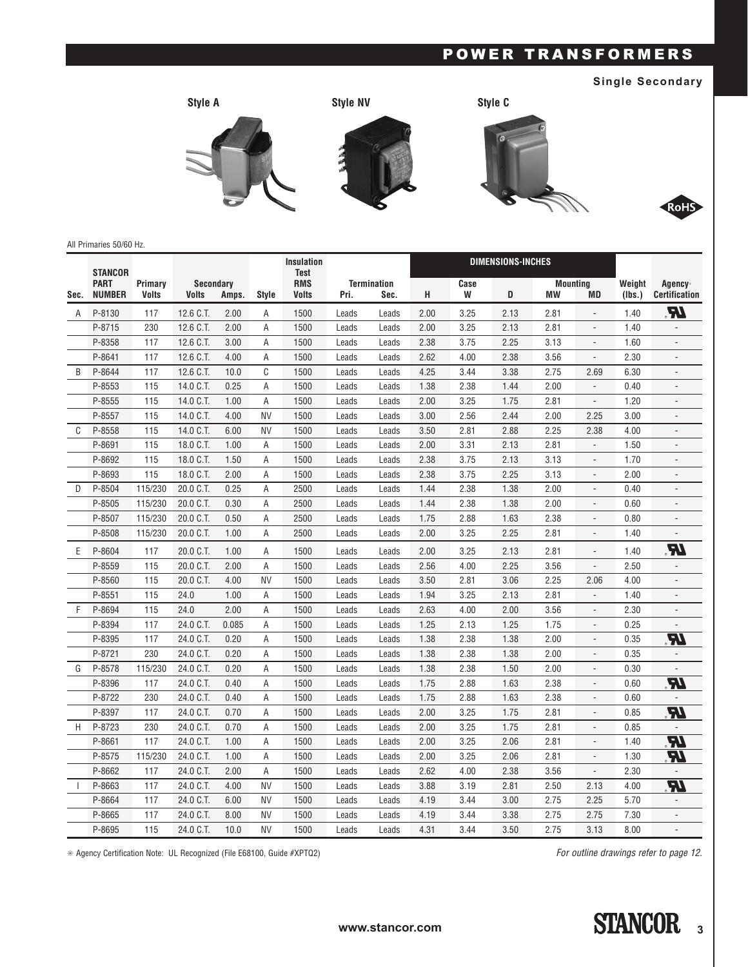### **Single Secondary**



### All Primaries 50/60 Hz.

|      | <b>STANCOR</b>               |                         |                                           |       |                | <b>Insulation</b><br><b>Test</b> |                                    |       |      | <b>DIMENSIONS-INCHES</b> |      |                             |                          |                  |                                 |
|------|------------------------------|-------------------------|-------------------------------------------|-------|----------------|----------------------------------|------------------------------------|-------|------|--------------------------|------|-----------------------------|--------------------------|------------------|---------------------------------|
| Sec. | <b>PART</b><br><b>NUMBER</b> | Primary<br><b>Volts</b> | <b>Secondary</b><br><b>Volts</b><br>Amps. |       | <b>Style</b>   | <b>RMS</b><br><b>Volts</b>       | <b>Termination</b><br>Pri.<br>Sec. |       | н    | Case<br>W                | D    | <b>Mounting</b><br>МW<br>MD |                          | Weight<br>(Ibs.) | Agency*<br><b>Certification</b> |
| A    | P-8130                       | 117                     | 12.6 C.T.                                 | 2.00  | Α              | 1500                             | Leads                              | Leads | 2.00 | 3.25                     | 2.13 | 2.81                        |                          | 1.40             | 74                              |
|      | P-8715                       | 230                     | 12.6 C.T.                                 | 2.00  | A              | 1500                             | Leads                              | Leads | 2.00 | 3.25                     | 2.13 | 2.81                        | $\overline{a}$           | 1.40             |                                 |
|      | P-8358                       | 117                     | 12.6 C.T.                                 | 3.00  | A              | 1500                             | Leads                              | Leads | 2.38 | 3.75                     | 2.25 | 3.13                        | $\overline{\phantom{a}}$ | 1.60             | $\overline{a}$                  |
|      | P-8641                       | 117                     | 12.6 C.T.                                 | 4.00  | A              | 1500                             | Leads                              | Leads | 2.62 | 4.00                     | 2.38 | 3.56                        | $\blacksquare$           | 2.30             | $\overline{a}$                  |
| B    | P-8644                       | 117                     | 12.6 C.T.                                 | 10.0  | C              | 1500                             | Leads                              | Leads | 4.25 | 3.44                     | 3.38 | 2.75                        | 2.69                     | 6.30             | $\overline{\phantom{a}}$        |
|      | P-8553                       | 115                     | 14.0 C.T.                                 | 0.25  | A              | 1500                             | Leads                              | Leads | 1.38 | 2.38                     | 1.44 | 2.00                        | $\overline{a}$           | 0.40             |                                 |
|      | P-8555                       | 115                     | 14.0 C.T.                                 | 1.00  | $\overline{A}$ | 1500                             | Leads                              | Leads | 2.00 | 3.25                     | 1.75 | 2.81                        | $\overline{\phantom{a}}$ | 1.20             | $\overline{a}$                  |
|      | P-8557                       | 115                     | 14.0 C.T.                                 | 4.00  | <b>NV</b>      | 1500                             | Leads                              | Leads | 3.00 | 2.56                     | 2.44 | 2.00                        | 2.25                     | 3.00             |                                 |
| C    | P-8558                       | 115                     | 14.0 C.T.                                 | 6.00  | <b>NV</b>      | 1500                             | Leads                              | Leads | 3.50 | 2.81                     | 2.88 | 2.25                        | 2.38                     | 4.00             |                                 |
|      | P-8691                       | 115                     | 18.0 C.T.                                 | 1.00  | Α              | 1500                             | Leads                              | Leads | 2.00 | 3.31                     | 2.13 | 2.81                        | $\overline{\phantom{a}}$ | 1.50             | L,                              |
|      | P-8692                       | 115                     | 18.0 C.T.                                 | 1.50  | $\overline{A}$ | 1500                             | Leads                              | Leads | 2.38 | 3.75                     | 2.13 | 3.13                        | $\overline{\phantom{a}}$ | 1.70             | $\overline{a}$                  |
|      | P-8693                       | 115                     | 18.0 C.T.                                 | 2.00  | A              | 1500                             | Leads                              | Leads | 2.38 | 3.75                     | 2.25 | 3.13                        | $\overline{\phantom{a}}$ | 2.00             | $\overline{a}$                  |
| D    | P-8504                       | 115/230                 | 20.0 C.T.                                 | 0.25  | A              | 2500                             | Leads                              | Leads | 1.44 | 2.38                     | 1.38 | 2.00                        |                          | 0.40             |                                 |
|      | P-8505                       | 115/230                 | 20.0 C.T.                                 | 0.30  | A              | 2500                             | Leads                              | Leads | 1.44 | 2.38                     | 1.38 | 2.00                        | $\overline{\phantom{a}}$ | 0.60             | $\overline{a}$                  |
|      | P-8507                       | 115/230                 | 20.0 C.T.                                 | 0.50  | A              | 2500                             | Leads                              | Leads | 1.75 | 2.88                     | 1.63 | 2.38                        |                          | 0.80             |                                 |
|      | P-8508                       | 115/230                 | 20.0 C.T.                                 | 1.00  | A              | 2500                             | Leads                              | Leads | 2.00 | 3.25                     | 2.25 | 2.81                        |                          | 1.40             |                                 |
| E    | P-8604                       | 117                     | 20.0 C.T.                                 | 1.00  | A              | 1500                             | Leads                              | Leads | 2.00 | 3.25                     | 2.13 | 2.81                        |                          | 1.40             | IR.                             |
|      | P-8559                       | 115                     | 20.0 C.T.                                 | 2.00  | A              | 1500                             | Leads                              | Leads | 2.56 | 4.00                     | 2.25 | 3.56                        | $\overline{\phantom{a}}$ | 2.50             |                                 |
|      | P-8560                       | 115                     | 20.0 C.T.                                 | 4.00  | <b>NV</b>      | 1500                             | Leads                              | Leads | 3.50 | 2.81                     | 3.06 | 2.25                        | 2.06                     | 4.00             |                                 |
|      | P-8551                       | 115                     | 24.0                                      | 1.00  | A              | 1500                             | Leads                              | Leads | 1.94 | 3.25                     | 2.13 | 2.81                        | $\overline{a}$           | 1.40             |                                 |
| F    | P-8694                       | 115                     | 24.0                                      | 2.00  | A              | 1500                             | Leads                              | Leads | 2.63 | 4.00                     | 2.00 | 3.56                        | $\blacksquare$           | 2.30             | $\overline{a}$                  |
|      | P-8394                       | 117                     | 24.0 C.T.                                 | 0.085 | Α              | 1500                             | Leads                              | Leads | 1.25 | 2.13                     | 1.25 | 1.75                        | $\overline{\phantom{a}}$ | 0.25             |                                 |
|      | P-8395                       | 117                     | 24.0 C.T.                                 | 0.20  | Α              | 1500                             | Leads                              | Leads | 1.38 | 2.38                     | 1.38 | 2.00                        | $\overline{a}$           | 0.35             | R                               |
|      | P-8721                       | 230                     | 24.0 C.T.                                 | 0.20  | A              | 1500                             | Leads                              | Leads | 1.38 | 2.38                     | 1.38 | 2.00                        | $\overline{a}$           | 0.35             |                                 |
| G    | P-8578                       | 115/230                 | 24.0 C.T.                                 | 0.20  | $\overline{A}$ | 1500                             | Leads                              | Leads | 1.38 | 2.38                     | 1.50 | 2.00                        |                          | 0.30             |                                 |
|      | P-8396                       | 117                     | 24.0 C.T.                                 | 0.40  | A              | 1500                             | Leads                              | Leads | 1.75 | 2.88                     | 1.63 | 2.38                        | $\overline{\phantom{a}}$ | 0.60             | R                               |
|      | P-8722                       | 230                     | 24.0 C.T.                                 | 0.40  | A              | 1500                             | Leads                              | Leads | 1.75 | 2.88                     | 1.63 | 2.38                        | $\frac{1}{2}$            | 0.60             |                                 |
|      | P-8397                       | 117                     | 24.0 C.T.                                 | 0.70  | A              | 1500                             | Leads                              | Leads | 2.00 | 3.25                     | 1.75 | 2.81                        | $\blacksquare$           | 0.85             | R                               |
| H    | P-8723                       | 230                     | 24.0 C.T.                                 | 0.70  | A              | 1500                             | Leads                              | Leads | 2.00 | 3.25                     | 1.75 | 2.81                        | $\overline{\phantom{a}}$ | 0.85             |                                 |
|      | P-8661                       | 117                     | 24.0 C.T.                                 | 1.00  | Α              | 1500                             | Leads                              | Leads | 2.00 | 3.25                     | 2.06 | 2.81                        | $\overline{\phantom{a}}$ | 1.40             | R                               |
|      | P-8575                       | 115/230                 | 24.0 C.T.                                 | 1.00  | A              | 1500                             | Leads                              | Leads | 2.00 | 3.25                     | 2.06 | 2.81                        | $\overline{\phantom{a}}$ | 1.30             | R                               |
|      | P-8662                       | 117                     | 24.0 C.T.                                 | 2.00  | $\overline{A}$ | 1500                             | Leads                              | Leads | 2.62 | 4.00                     | 2.38 | 3.56                        | $\overline{a}$           | 2.30             |                                 |
|      | P-8663                       | 117                     | 24.0 C.T.                                 | 4.00  | <b>NV</b>      | 1500                             | Leads                              | Leads | 3.88 | 3.19                     | 2.81 | 2.50                        | 2.13                     | 4.00             | R                               |
|      | P-8664                       | 117                     | 24.0 C.T.                                 | 6.00  | <b>NV</b>      | 1500                             | Leads                              | Leads | 4.19 | 3.44                     | 3.00 | 2.75                        | 2.25                     | 5.70             |                                 |
|      | P-8665                       | 117                     | 24.0 C.T.                                 | 8.00  | <b>NV</b>      | 1500                             | Leads                              | Leads | 4.19 | 3.44                     | 3.38 | 2.75                        | 2.75                     | 7.30             | $\overline{\phantom{a}}$        |
|      | P-8695                       | 115                     | 24.0 C.T.                                 | 10.0  | <b>NV</b>      | 1500                             | Leads                              | Leads | 4.31 | 3.44                     | 3.50 | 2.75                        | 3.13                     | 8.00             |                                 |

✳ Agency Certification Note: UL Recognized (File E68100, Guide #XPTQ2)

*For outline drawings refer to page 12.*